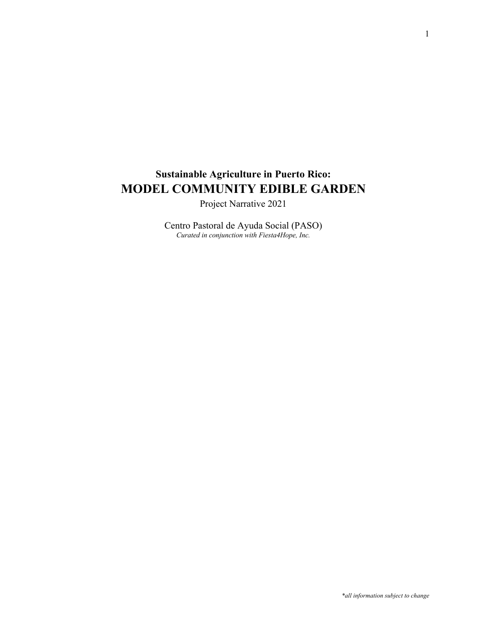# **Sustainable Agriculture in Puerto Rico: MODEL COMMUNITY EDIBLE GARDEN**

Project Narrative 2021

Centro Pastoral de Ayuda Social (PASO) *Curated in conjunction with Fiesta4Hope, Inc.*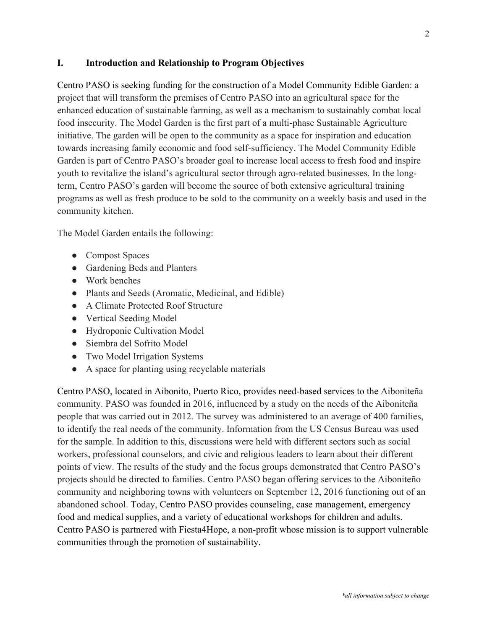## **I. Introduction and Relationship to Program Objectives**

Centro PASO is seeking funding for the construction of a Model Community Edible Garden: a project that will transform the premises of Centro PASO into an agricultural space for the enhanced education of sustainable farming, as well as a mechanism to sustainably combat local food insecurity. The Model Garden is the first part of a multi-phase Sustainable Agriculture initiative. The garden will be open to the community as a space for inspiration and education towards increasing family economic and food self-sufficiency. The Model Community Edible Garden is part of Centro PASO's broader goal to increase local access to fresh food and inspire youth to revitalize the island's agricultural sector through agro-related businesses. In the longterm, Centro PASO's garden will become the source of both extensive agricultural training programs as well as fresh produce to be sold to the community on a weekly basis and used in the community kitchen.

The Model Garden entails the following:

- Compost Spaces
- Gardening Beds and Planters
- Work benches
- Plants and Seeds (Aromatic, Medicinal, and Edible)
- A Climate Protected Roof Structure
- Vertical Seeding Model
- Hydroponic Cultivation Model
- Siembra del Sofrito Model
- Two Model Irrigation Systems
- A space for planting using recyclable materials

Centro PASO, located in Aibonito, Puerto Rico, provides need-based services to the Aiboniteña community. PASO was founded in 2016, influenced by a study on the needs of the Aiboniteña people that was carried out in 2012. The survey was administered to an average of 400 families, to identify the real needs of the community. Information from the US Census Bureau was used for the sample. In addition to this, discussions were held with different sectors such as social workers, professional counselors, and civic and religious leaders to learn about their different points of view. The results of the study and the focus groups demonstrated that Centro PASO's projects should be directed to families. Centro PASO began offering services to the Aiboniteño community and neighboring towns with volunteers on September 12, 2016 functioning out of an abandoned school. Today, Centro PASO provides counseling, case management, emergency food and medical supplies, and a variety of educational workshops for children and adults. Centro PASO is partnered with Fiesta4Hope, a non-profit whose mission is to support vulnerable communities through the promotion of sustainability.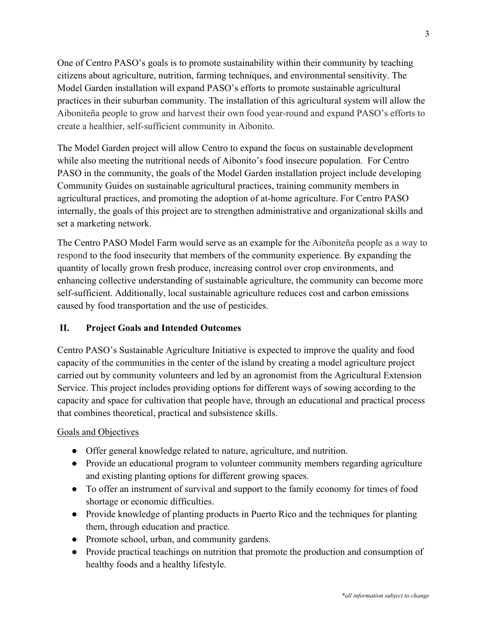One of Centro PASO's goals is to promote sustainability within their community by teaching citizens about agriculture, nutrition, farming techniques, and environmental sensitivity. The Model Garden installation will expand PASO's efforts to promote sustainable agricultural practices in their suburban community. The installation of this agricultural system will allow the Aiboniteña people to grow and harvest their own food year-round and expand PASO's efforts to create a healthier, self-sufficient community in Aibonito.

The Model Garden project will allow Centro to expand the focus on sustainable development while also meeting the nutritional needs of Aibonito's food insecure population. For Centro PASO in the community, the goals of the Model Garden installation project include developing Community Guides on sustainable agricultural practices, training community members in agricultural practices, and promoting the adoption of at-home agriculture. For Centro PASO internally, the goals of this project are to strengthen administrative and organizational skills and set a marketing network.

The Centro PASO Model Farm would serve as an example for the Aiboniteña people as a way to respond to the food insecurity that members of the community experience. By expanding the quantity of locally grown fresh produce, increasing control over crop environments, and enhancing collective understanding of sustainable agriculture, the community can become more self-sufficient. Additionally, local sustainable agriculture reduces cost and carbon emissions caused by food transportation and the use of pesticides.

# **II. Project Goals and Intended Outcomes**

Centro PASO's Sustainable Agriculture Initiative is expected to improve the quality and food capacity of the communities in the center of the island by creating a model agriculture project carried out by community volunteers and led by an agronomist from the Agricultural Extension Service. This project includes providing options for different ways of sowing according to the capacity and space for cultivation that people have, through an educational and practical process that combines theoretical, practical and subsistence skills.

## Goals and Objectives

- Offer general knowledge related to nature, agriculture, and nutrition.
- Provide an educational program to volunteer community members regarding agriculture and existing planting options for different growing spaces.
- To offer an instrument of survival and support to the family economy for times of food shortage or economic difficulties.
- Provide knowledge of planting products in Puerto Rico and the techniques for planting them, through education and practice.
- Promote school, urban, and community gardens.
- Provide practical teachings on nutrition that promote the production and consumption of healthy foods and a healthy lifestyle.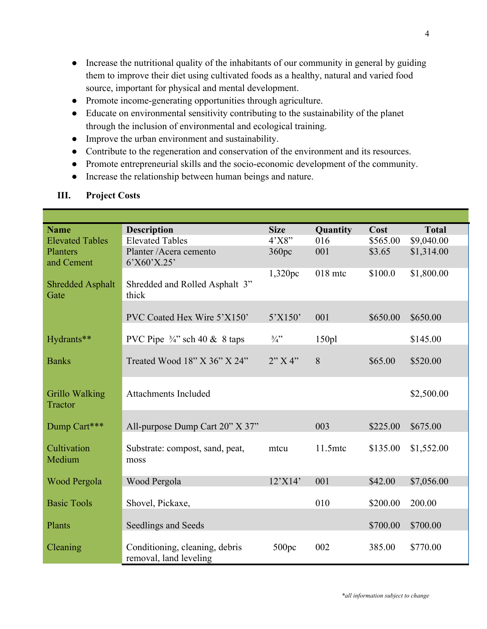- Increase the nutritional quality of the inhabitants of our community in general by guiding them to improve their diet using cultivated foods as a healthy, natural and varied food source, important for physical and mental development.
- Promote income-generating opportunities through agriculture.
- Educate on environmental sensitivity contributing to the sustainability of the planet through the inclusion of environmental and ecological training.
- Improve the urban environment and sustainability.
- Contribute to the regeneration and conservation of the environment and its resources.
- Promote entrepreneurial skills and the socio-economic development of the community.
- Increase the relationship between human beings and nature.

| <b>Name</b>                      | <b>Description</b>                                       | <b>Size</b>     | Quantity  | Cost     | <b>Total</b> |
|----------------------------------|----------------------------------------------------------|-----------------|-----------|----------|--------------|
| <b>Elevated Tables</b>           | <b>Elevated Tables</b>                                   | 4'X8"           | 016       | \$565.00 | \$9,040.00   |
| Planters                         | Planter / Acera cemento                                  | 360pc           | 001       | \$3.65   | \$1,314.00   |
| and Cement                       | 6'X60'X.25'                                              |                 |           |          |              |
| <b>Shredded Asphalt</b><br>Gate  | Shredded and Rolled Asphalt 3"<br>thick                  | 1,320pc         | $018$ mtc | \$100.0  | \$1,800.00   |
|                                  |                                                          |                 |           |          |              |
|                                  | PVC Coated Hex Wire 5'X150'                              | 5'X150'         | 001       | \$650.00 | \$650.00     |
| Hydrants**                       | PVC Pipe $\frac{3}{4}$ " sch 40 & 8 taps                 | $\frac{3}{4}$ " | 150p1     |          | \$145.00     |
| <b>Banks</b>                     | Treated Wood $18"$ X $36"$ X $24"$                       | 2"X4"           | 8         | \$65.00  | \$520.00     |
| <b>Grillo Walking</b><br>Tractor | <b>Attachments Included</b>                              |                 |           |          | \$2,500.00   |
| Dump Cart***                     | All-purpose Dump Cart 20" X 37"                          |                 | 003       | \$225.00 | \$675.00     |
|                                  |                                                          |                 |           |          |              |
| Cultivation<br>Medium            | Substrate: compost, sand, peat,<br>moss                  | mtcu            | 11.5mtc   | \$135.00 | \$1,552.00   |
| Wood Pergola                     | Wood Pergola                                             | 12'X14'         | 001       | \$42.00  | \$7,056.00   |
| <b>Basic Tools</b>               | Shovel, Pickaxe,                                         |                 | 010       | \$200.00 | 200.00       |
| Plants                           | Seedlings and Seeds                                      |                 |           | \$700.00 | \$700.00     |
| Cleaning                         | Conditioning, cleaning, debris<br>removal, land leveling | 500pc           | 002       | 385.00   | \$770.00     |

# **III. Project Costs**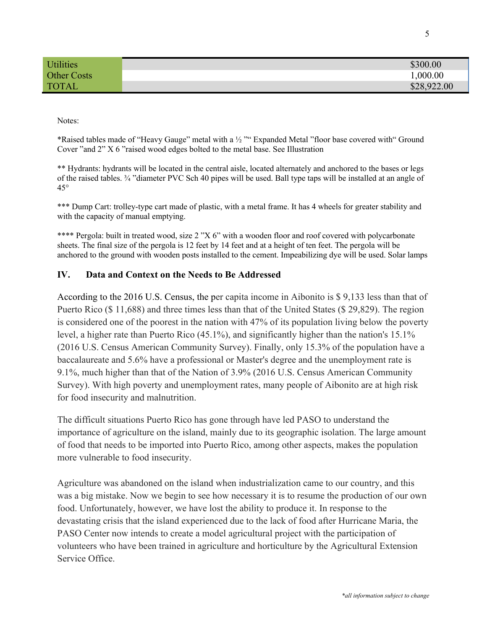| <b>Utilities</b>   | \$300.00    |
|--------------------|-------------|
| <b>Other Costs</b> | ,000.00     |
| <b>TOTAL</b>       | \$28,922.00 |

Notes:

\*Raised tables made of "Heavy Gauge" metal with a ½ "" Expanded Metal "floor base covered with" Ground Cover "and 2" X 6 "raised wood edges bolted to the metal base. See Illustration

\*\* Hydrants: hydrants will be located in the central aisle, located alternately and anchored to the bases or legs of the raised tables. ¾ "diameter PVC Sch 40 pipes will be used. Ball type taps will be installed at an angle of 45°

\*\*\* Dump Cart: trolley-type cart made of plastic, with a metal frame. It has 4 wheels for greater stability and with the capacity of manual emptying.

\*\*\*\* Pergola: built in treated wood, size 2 "X 6" with a wooden floor and roof covered with polycarbonate sheets. The final size of the pergola is 12 feet by 14 feet and at a height of ten feet. The pergola will be anchored to the ground with wooden posts installed to the cement. Impeabilizing dye will be used. Solar lamps

## **IV. Data and Context on the Needs to Be Addressed**

According to the 2016 U.S. Census, the per capita income in Aibonito is \$ 9,133 less than that of Puerto Rico (\$ 11,688) and three times less than that of the United States (\$ 29,829). The region is considered one of the poorest in the nation with 47% of its population living below the poverty level, a higher rate than Puerto Rico (45.1%), and significantly higher than the nation's 15.1% (2016 U.S. Census American Community Survey). Finally, only 15.3% of the population have a baccalaureate and 5.6% have a professional or Master's degree and the unemployment rate is 9.1%, much higher than that of the Nation of 3.9% (2016 U.S. Census American Community Survey). With high poverty and unemployment rates, many people of Aibonito are at high risk for food insecurity and malnutrition.

The difficult situations Puerto Rico has gone through have led PASO to understand the importance of agriculture on the island, mainly due to its geographic isolation. The large amount of food that needs to be imported into Puerto Rico, among other aspects, makes the population more vulnerable to food insecurity.

Agriculture was abandoned on the island when industrialization came to our country, and this was a big mistake. Now we begin to see how necessary it is to resume the production of our own food. Unfortunately, however, we have lost the ability to produce it. In response to the devastating crisis that the island experienced due to the lack of food after Hurricane Maria, the PASO Center now intends to create a model agricultural project with the participation of volunteers who have been trained in agriculture and horticulture by the Agricultural Extension Service Office.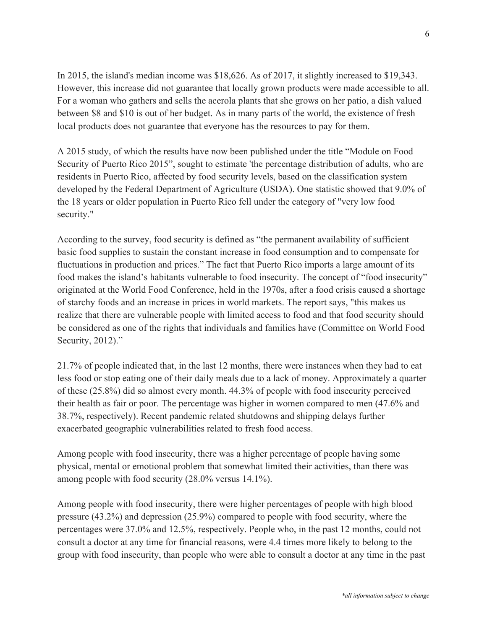In 2015, the island's median income was \$18,626. As of 2017, it slightly increased to \$19,343. However, this increase did not guarantee that locally grown products were made accessible to all. For a woman who gathers and sells the acerola plants that she grows on her patio, a dish valued between \$8 and \$10 is out of her budget. As in many parts of the world, the existence of fresh local products does not guarantee that everyone has the resources to pay for them.

A 2015 study, of which the results have now been published under the title "Module on Food Security of Puerto Rico 2015", sought to estimate 'the percentage distribution of adults, who are residents in Puerto Rico, affected by food security levels, based on the classification system developed by the Federal Department of Agriculture (USDA). One statistic showed that 9.0% of the 18 years or older population in Puerto Rico fell under the category of "very low food security."

According to the survey, food security is defined as "the permanent availability of sufficient basic food supplies to sustain the constant increase in food consumption and to compensate for fluctuations in production and prices." The fact that Puerto Rico imports a large amount of its food makes the island's habitants vulnerable to food insecurity. The concept of "food insecurity" originated at the World Food Conference, held in the 1970s, after a food crisis caused a shortage of starchy foods and an increase in prices in world markets. The report says, "this makes us realize that there are vulnerable people with limited access to food and that food security should be considered as one of the rights that individuals and families have (Committee on World Food Security, 2012)."

21.7% of people indicated that, in the last 12 months, there were instances when they had to eat less food or stop eating one of their daily meals due to a lack of money. Approximately a quarter of these (25.8%) did so almost every month. 44.3% of people with food insecurity perceived their health as fair or poor. The percentage was higher in women compared to men (47.6% and 38.7%, respectively). Recent pandemic related shutdowns and shipping delays further exacerbated geographic vulnerabilities related to fresh food access.

Among people with food insecurity, there was a higher percentage of people having some physical, mental or emotional problem that somewhat limited their activities, than there was among people with food security (28.0% versus 14.1%).

Among people with food insecurity, there were higher percentages of people with high blood pressure (43.2%) and depression (25.9%) compared to people with food security, where the percentages were 37.0% and 12.5%, respectively. People who, in the past 12 months, could not consult a doctor at any time for financial reasons, were 4.4 times more likely to belong to the group with food insecurity, than people who were able to consult a doctor at any time in the past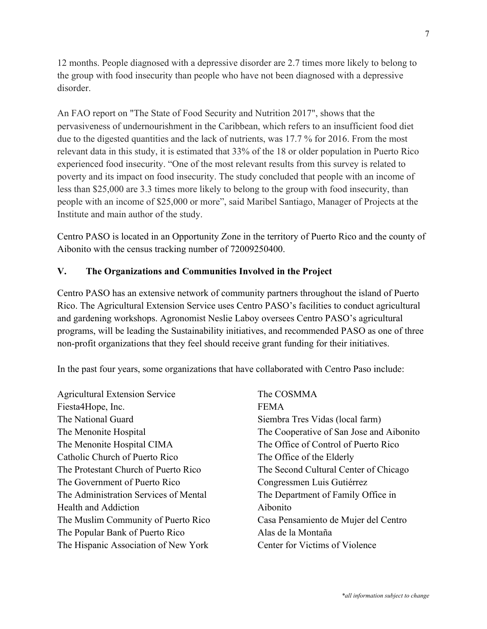12 months. People diagnosed with a depressive disorder are 2.7 times more likely to belong to the group with food insecurity than people who have not been diagnosed with a depressive disorder.

An FAO report on "The State of Food Security and Nutrition 2017", shows that the pervasiveness of undernourishment in the Caribbean, which refers to an insufficient food diet due to the digested quantities and the lack of nutrients, was 17.7 % for 2016. From the most relevant data in this study, it is estimated that 33% of the 18 or older population in Puerto Rico experienced food insecurity. "One of the most relevant results from this survey is related to poverty and its impact on food insecurity. The study concluded that people with an income of less than \$25,000 are 3.3 times more likely to belong to the group with food insecurity, than people with an income of \$25,000 or more", said Maribel Santiago, Manager of Projects at the Institute and main author of the study.

Centro PASO is located in an Opportunity Zone in the territory of Puerto Rico and the county of Aibonito with the census tracking number of 72009250400.

# **V. The Organizations and Communities Involved in the Project**

Centro PASO has an extensive network of community partners throughout the island of Puerto Rico. The Agricultural Extension Service uses Centro PASO's facilities to conduct agricultural and gardening workshops. Agronomist Neslie Laboy oversees Centro PASO's agricultural programs, will be leading the Sustainability initiatives, and recommended PASO as one of three non-profit organizations that they feel should receive grant funding for their initiatives.

In the past four years, some organizations that have collaborated with Centro Paso include:

| <b>Agricultural Extension Service</b> | The COSMMA                               |
|---------------------------------------|------------------------------------------|
| Fiesta4Hope, Inc.                     | <b>FEMA</b>                              |
| The National Guard                    | Siembra Tres Vidas (local farm)          |
| The Menonite Hospital                 | The Cooperative of San Jose and Aibonito |
| The Menonite Hospital CIMA            | The Office of Control of Puerto Rico     |
| Catholic Church of Puerto Rico        | The Office of the Elderly                |
| The Protestant Church of Puerto Rico  | The Second Cultural Center of Chicago    |
| The Government of Puerto Rico         | Congressmen Luis Gutiérrez               |
| The Administration Services of Mental | The Department of Family Office in       |
| Health and Addiction                  | Aibonito                                 |
| The Muslim Community of Puerto Rico   | Casa Pensamiento de Mujer del Centro     |
| The Popular Bank of Puerto Rico       | Alas de la Montaña                       |
| The Hispanic Association of New York  | Center for Victims of Violence           |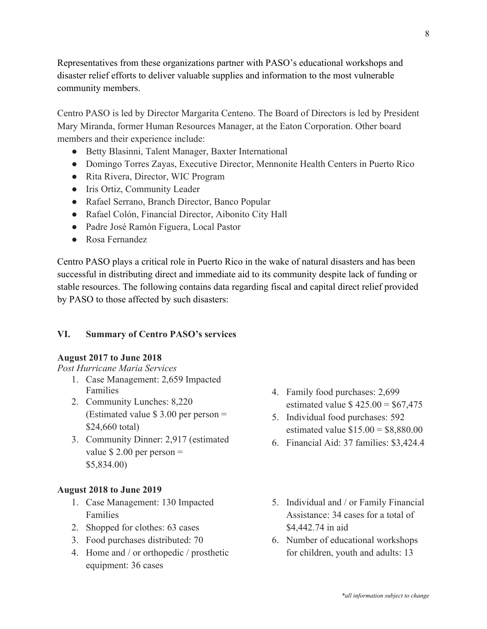Representatives from these organizations partner with PASO's educational workshops and disaster relief efforts to deliver valuable supplies and information to the most vulnerable community members.

Centro PASO is led by Director Margarita Centeno. The Board of Directors is led by President Mary Miranda, former Human Resources Manager, at the Eaton Corporation. Other board members and their experience include:

- Betty Blasinni, Talent Manager, Baxter International
- Domingo Torres Zayas, Executive Director, Mennonite Health Centers in Puerto Rico
- Rita Rivera, Director, WIC Program
- Iris Ortiz, Community Leader
- Rafael Serrano, Branch Director, Banco Popular
- Rafael Colón, Financial Director, Aibonito City Hall
- Padre José Ramón Figuera, Local Pastor
- Rosa Fernandez

Centro PASO plays a critical role in Puerto Rico in the wake of natural disasters and has been successful in distributing direct and immediate aid to its community despite lack of funding or stable resources. The following contains data regarding fiscal and capital direct relief provided by PASO to those affected by such disasters:

#### **VI. Summary of Centro PASO's services**

#### **August 2017 to June 2018**

*Post Hurricane Maria Services* 

- 1. Case Management: 2,659 Impacted Families
- 2. Community Lunches: 8,220 (Estimated value  $$3.00$  per person = \$24,660 total)
- 3. Community Dinner: 2,917 (estimated value  $$ 2.00$  per person  $=$ \$5,834.00)

#### **August 2018 to June 2019**

- 1. Case Management: 130 Impacted Families
- 2. Shopped for clothes: 63 cases
- 3. Food purchases distributed: 70
- 4. Home and / or orthopedic / prosthetic equipment: 36 cases
- 4. Family food purchases: 2,699 estimated value  $$ 425.00 = $67,475$
- 5. Individual food purchases: 592 estimated value  $$15.00 = $8,880.00$
- 6. Financial Aid: 37 families: \$3,424.4
- 5. Individual and / or Family Financial Assistance: 34 cases for a total of \$4,442.74 in aid
- 6. Number of educational workshops for children, youth and adults: 13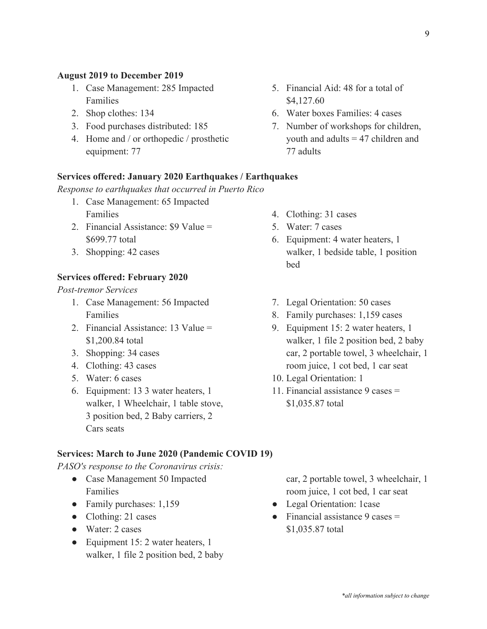#### **August 2019 to December 2019**

- 1. Case Management: 285 Impacted Families
- 2. Shop clothes: 134
- 3. Food purchases distributed: 185
- 4. Home and / or orthopedic / prosthetic equipment: 77

#### **Services offered: January 2020 Earthquakes / Earthquakes**

*Response to earthquakes that occurred in Puerto Rico*

- 1. Case Management: 65 Impacted Families
- 2. Financial Assistance: \$9 Value = \$699.77 total
- 3. Shopping: 42 cases

#### **Services offered: February 2020**

*Post-tremor Services*

- 1. Case Management: 56 Impacted Families
- 2. Financial Assistance: 13 Value = \$1,200.84 total
- 3. Shopping: 34 cases
- 4. Clothing: 43 cases
- 5. Water: 6 cases
- 6. Equipment: 13 3 water heaters, 1 walker, 1 Wheelchair, 1 table stove, 3 position bed, 2 Baby carriers, 2 Cars seats
- 4. Clothing: 31 cases
- 5. Water: 7 cases

\$4,127.60

77 adults

6. Equipment: 4 water heaters, 1 walker, 1 bedside table, 1 position bed

5. Financial Aid: 48 for a total of

6. Water boxes Families: 4 cases

7. Number of workshops for children, youth and adults = 47 children and

- 7. Legal Orientation: 50 cases
- 8. Family purchases: 1,159 cases
- 9. Equipment 15: 2 water heaters, 1 walker, 1 file 2 position bed, 2 baby car, 2 portable towel, 3 wheelchair, 1 room juice, 1 cot bed, 1 car seat
- 10. Legal Orientation: 1
- 11. Financial assistance 9 cases = \$1,035.87 total

#### **Services: March to June 2020 (Pandemic COVID 19)**

*PASO's response to the Coronavirus crisis:*

- Case Management 50 Impacted Families
- Family purchases: 1,159
- Clothing: 21 cases
- Water: 2 cases
- Equipment 15: 2 water heaters, 1 walker, 1 file 2 position bed, 2 baby

car, 2 portable towel, 3 wheelchair, 1 room juice, 1 cot bed, 1 car seat

- Legal Orientation: 1case
- $\bullet$  Financial assistance 9 cases  $=$ \$1,035.87 total